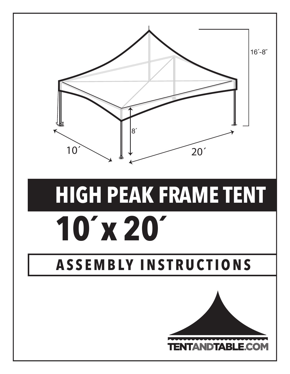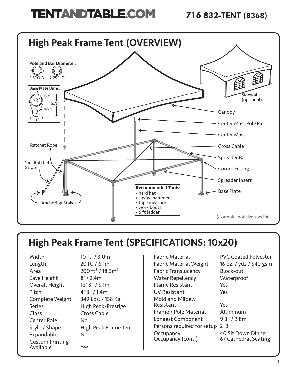

# High Peak Frame Tent (SPECIFICATIONS: 10x20)

| Width                  | 10 ft. / 3.0m                            |
|------------------------|------------------------------------------|
| Length                 | 20 ft. / 6.1m                            |
| Area                   | 200 ft <sup>2</sup> / 18.3m <sup>2</sup> |
| Eave Height            | 8' / 2.4m                                |
| Overall Height         | 16' 8" / 5.1m                            |
| Pitch                  | 4' 8" / 1.4m                             |
| Complete Weight        | 349 Lbs. / 158 Kg.                       |
| <b>Series</b>          | High Peak/Prestige                       |
| Class                  | Cross Cable                              |
| <b>Center Pole</b>     | Nο                                       |
| Style / Shape          | High Peak Frame Tent                     |
| Expandable             | No                                       |
| <b>Custom Printing</b> |                                          |
| Available              | Yes                                      |

Fabric Material PVC Coated Polyester Fabric Material Weight 16 oz. / yd2 / 540 gsm Fabric Translucency Block-out Water Repellency Waterproof Flame Resistant Yes UV Resistant Yes Mold and Mildew Resistant Yes Frame / Pole Material Aluminum Longest Component 9'3" / 2.8m Persons required for setup 2–3 Occupancy 10 Sit Down Dinner<br>Occupancy (cont.) 67 Cathedral Seating

67 Cathedral Seating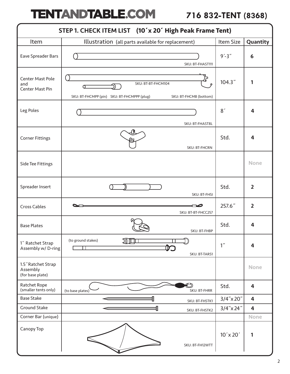| STEP 1. CHECK ITEM LIST (10'x 20' High Peak Frame Tent) |                                                                                                  |                  |                         |  |
|---------------------------------------------------------|--------------------------------------------------------------------------------------------------|------------------|-------------------------|--|
| Item                                                    | Illustration (all parts available for replacement)                                               | Item Size        | Quantity                |  |
| Eave Spreader Bars                                      | SKU: BT-FHAST111                                                                                 | $9' - 3''$       | 6                       |  |
| Center Mast Pole<br>and<br>Center Mast Pin              | SKU: BT-BT-FHCM104<br>σ<br>SKU: BT-FHCMPP (pin) SKU: BT-FHCMPPP (plug)<br>SKU: BT-FHCMB (bottom) | 104.3"           | 1                       |  |
| Leg Poles                                               | SKU: BT-FHAST8L                                                                                  | 8'               | 4                       |  |
| <b>Corner Fittings</b>                                  | SKU: BT-FHCRN                                                                                    | Std.             | 4                       |  |
| Side Tee Fittings                                       |                                                                                                  |                  | <b>None</b>             |  |
| Spreader Insert                                         | SKU: BT-FHSI                                                                                     | Std.             | $\overline{2}$          |  |
| Cross Cables                                            | SKU: BT-BT-FHCC257                                                                               | 257.6"           | $\overline{2}$          |  |
| <b>Base Plates</b>                                      | SKU: BT-FHBP                                                                                     | Std.             | 4                       |  |
| 1" Ratchet Strap<br>Assembly w/ D-ring                  | (to ground stakes)<br>ЛШ<br>SKU: BT-TARS1                                                        | 1 <sup>''</sup>  | $\overline{\mathbf{4}}$ |  |
| 1.5" Ratchet Strap<br>Assembly<br>(for base plate)      |                                                                                                  |                  | <b>None</b>             |  |
| Ratchet Rope<br>(smaller tents only)                    | (to base plates)<br>SKU: BT-FHRR                                                                 | Std.             | $\overline{\mathbf{4}}$ |  |
| <b>Base Stake</b>                                       | SKU: BT-FHSTK1                                                                                   | $3/4$ " x 20"    | $\overline{\mathbf{4}}$ |  |
| Ground Stake                                            | SKU: BT-FHSTK2                                                                                   | $3/4$ " x 24"    | $\overline{4}$          |  |
| Corner Bar (unique)                                     |                                                                                                  |                  | <b>None</b>             |  |
| Canopy Top                                              | SKU: BT-FH12WTT                                                                                  | $10' \times 20'$ | 1                       |  |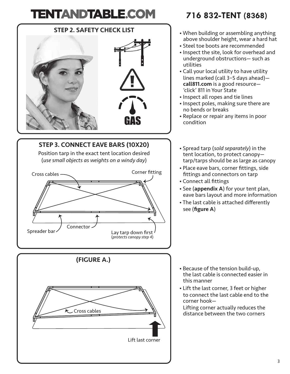# STEP 2. SAFETY CHECK LIST

## STEP 3. CONNECT EAVE BARS (10X20) Position tarp in the exact tent location desired (*use small objects as weights on a windy day*) Lay tarp down first (*protects canopy step 4*) Spreader bar Cross cables -Connector Corner fitting



### **716 832-TENT (8368)**

- When building or assembling anything above shoulder height, wear a hard hat
- Steel toe boots are recommended
- Inspect the site, look for overhead and underground obstructions— such as utilities
- Call your local utility to have utility lines marked (call 3–5 days ahead) call811.com is a good resource— 'click' 811 in Your State
- Inspect all ropes and tie lines
- Inspect poles, making sure there are no bends or breaks
- Replace or repair any items in poor condition
- Spread tarp (*sold separately*) in the tent location, to protect canopy tarp/tarps should be as large as canopy
- Place eave bars, corner fittings, side fittings and connectors on tarp
- Connect all fittings
- See (appendix A) for your tent plan, eave bars layout and more information
- The last cable is attached differently see (figure A)

- Because of the tension build-up, the last cable is connected easier in this manner
- Lift the last corner, 3 feet or higher to connect the last cable end to the corner hook— Lifting corner actually reduces the

distance between the two corners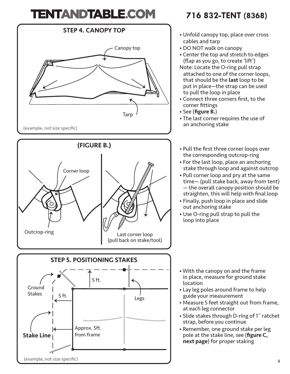

### **716 832-TENT (8368)**

- Unfold canopy top, place over cross cables and tarp
- DO NOT walk on canopy
- Center the top and stretch to edges (flap as you go, to create 'lift')
- Note: Locate the O-ring pull strap attached to one of the corner loops, that should be the **last** loop to be put in place—the strap can be used to pull the loop in place
- Connect three corners first, to the corner fittings
- See (figure B.)
- The last corner requires the use of an anchoring stake
- Pull the first three corner loops over the corresponding outcrop-ring
- For the last loop, place an anchoring stake through loop and against outcrop
- Pull corner loop and pry at the same time— (pull stake back, away from tent) — the overall canopy position should be straighten, this will help with final loop
- Finally, push loop in place and slide out anchoring stake
- Use O-ring pull strap to pull the loop into place

- With the canopy on and the frame in place, measure for ground stake location
- Lay leg poles around frame to help guide your measurement
- Measure 5 feet straight out from frame, at each leg connector
- Slide stakes through D-ring of 1˝ ratchet strap, before you continue
- Remember, one ground stake per leg pole at the stake line, see (figure C, next page) for proper staking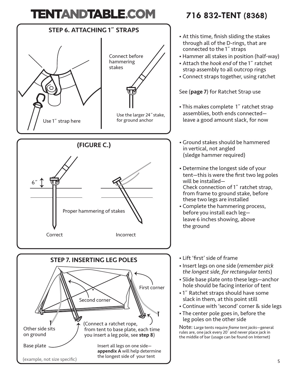

### **716 832-TENT (8368)**

- At this time, finish sliding the stakes through all of the D-rings, that are connected to the 1˝ straps
- Hammer all stakes in position (half-way)
- Attach the *hook end* of the 1˝ ratchet strap assembly to all outcrop rings
- Connect straps together, using ratchet

See (page 7) for Ratchet Strap use

- This makes complete 1˝ ratchet strap assemblies, both ends connected leave a good amount slack, for now
- Ground stakes should be hammered in vertical, not angled (sledge hammer required)
- Determine the longest side of your tent—this is were the first two leg poles will be installed— Check connection of 1˝ ratchet strap, from frame to ground stake, before these two legs are installed
- Complete the hammering process, before you install each leg leave 6 inches showing, above the ground
- Lift 'first' side of frame
- Insert legs on one side (*remember pick the longest side, for rectangular tents*)
- Slide base plate onto these legs—anchor hole should be facing interior of tent
- 1˝ Ratchet straps should have some slack in them, at this point still
- Continue with 'second' corner & side legs
- The center pole goes in, before the leg poles on the other side

Note: Large tents require *frame tent jacks*—general rules are, one jack every 20´ and never place jack in the middle of bar (usage can be found on Internet)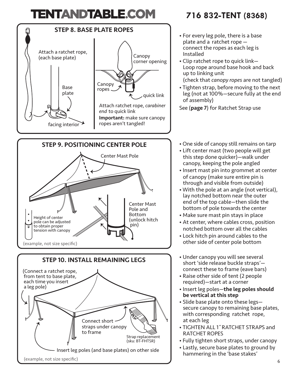![](_page_6_Figure_1.jpeg)

### **716 832-TENT (8368)**

- For every leg pole, there is a base plate and a ratchet rope connect the ropes as each leg is Installed
- Clip ratchet rope to quick link— Loop rope around base hook and back up to linking unit (check that *canopy ropes* are not tangled)
- Tighten strap, before moving to the next leg (not at 100%—secure fully at the end of assembly)
- See (page 7) for Ratchet Strap use
- One side of canopy still remains on tarp
- Lift center mast (two people will get this step done quicker)—walk under canopy, keeping the pole angled
- Insert mast pin into grommet at center of canopy (make sure entire pin is through and visible from outside)
- With the pole at an angle (not vertical), lay notched bottom near the outer end of the top cable—then slide the bottom of pole towards the center
- Make sure mast pin stays in place
- At center, where cables cross, position notched bottom over all the cables
- Lock hitch pin around cables to the other side of center pole bottom
- Under canopy you will see several short 'side release buckle straps' connect these to frame (eave bars)
- Raise other side of tent (2 people required)—start at a corner
- Insert leg poles-the leg poles should be vertical at this step
- Slide base plate onto these legs secure canopy to remaining base plates, with corresponding ratchet rope, at each leg
- TIGHTEN ALL 1˝RATCHET STRAPS and RATCHET ROPES
- Fully tighten short straps, under canopy
- Lastly, secure base plates to ground by hammering in the 'base stakes'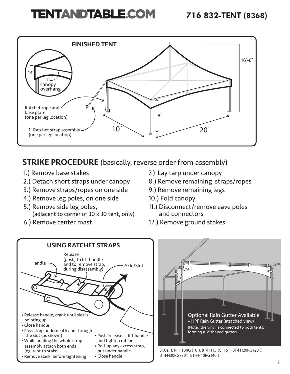![](_page_7_Figure_2.jpeg)

### **STRIKE PROCEDURE** (basically, reverse order from assembly)

- 1.) Remove base stakes
- 2.) Detach short straps under canopy
- 3.) Remove straps/ropes on one side
- 4.) Remove leg poles, on one side
- 5.) Remove side leg poles, (adjacent to corner of 30 x 30 tent, only)
- 6.) Remove center mast
- 7.) Lay tarp under canopy
- 8.) Remove remaining straps/ropes
- 9.) Remove remaining legs
- 10.) Fold canopy
- 11.) Disconnect/remove eave poles and connectors
- 12.) Remove ground stakes

![](_page_7_Figure_16.jpeg)

![](_page_7_Figure_17.jpeg)

SKUs: BT-FH10RG (10´), BT-FH15RG (15´), BT-FH20RG (20´), BT-FH30RG (30´), BT-FH40RG (40´)